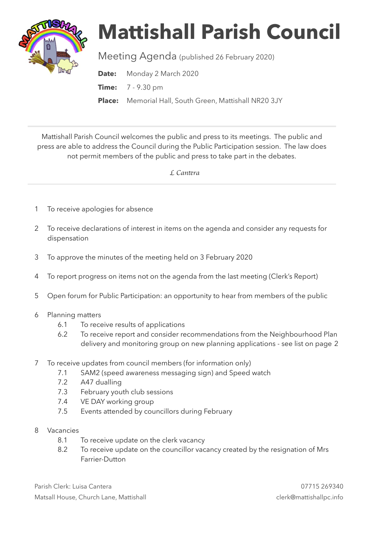

## **Mattishall Parish Council**

Meeting Agenda (published 26 February 2020)

**Date:** Monday 2 March 2020

**Time:** 7 - 9.30 pm

**Place:** Memorial Hall, South Green, Mattishall NR20 3JY

Mattishall Parish Council welcomes the public and press to its meetings. The public and press are able to address the Council during the Public Participation session. The law does not permit members of the public and press to take part in the debates.

 *L Can*t*ra* 

- 1 To receive apologies for absence
- 2 To receive declarations of interest in items on the agenda and consider any requests for dispensation
- 3 To approve the minutes of the meeting held on 3 February 2020
- 4 To report progress on items not on the agenda from the last meeting (Clerk's Report)
- 5 Open forum for Public Participation: an opportunity to hear from members of the public
- 6 Planning matters
	- 6.1 To receive results of applications
	- 6.2 To receive report and consider recommendations from the Neighbourhood Plan delivery and monitoring group on new planning applications - see list on page 2
- 7 To receive updates from council members (for information only)
	- 7.1 SAM2 (speed awareness messaging sign) and Speed watch
	- 7.2 A47 dualling
	- 7.3 February youth club sessions
	- 7.4 VE DAY working group
	- 7.5 Events attended by councillors during February
- 8 Vacancies
	- 8.1 To receive update on the clerk vacancy
	- 8.2 To receive update on the councillor vacancy created by the resignation of Mrs Farrier-Dutton

Parish Clerk: Luisa Cantera 07715 269340 Matsall House, Church Lane, Mattishall clerk@mattishallpc.info